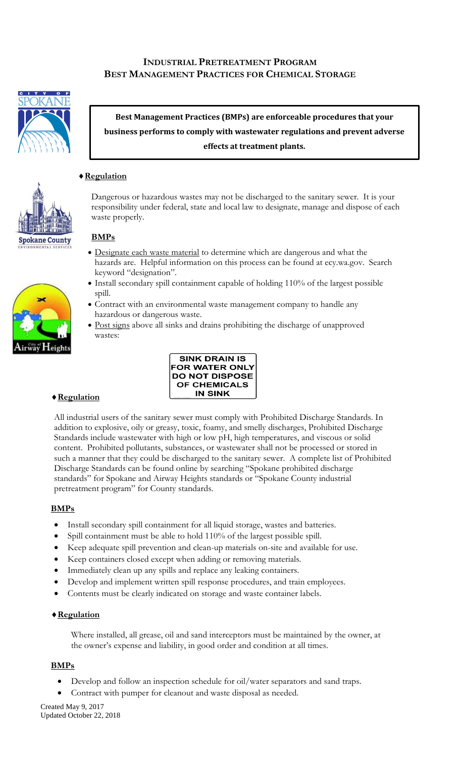# **INDUSTRIAL PRETREATMENT PROGRAM BEST MANAGEMENT PRACTICES FOR CHEMICAL STORAGE**



**Best Management Practices (BMPs) are enforceable procedures that your business performs to comply with wastewater regulations and prevent adverse effects at treatment plants.**

# **Regulation**

Dangerous or hazardous wastes may not be discharged to the sanitary sewer. It is your responsibility under federal, state and local law to designate, manage and dispose of each waste properly.

#### **BMPs**

- Designate each waste material to determine which are dangerous and what the hazards are. Helpful information on this process can be found at ecy.wa.gov. Search keyword "designation".
- Install secondary spill containment capable of holding 110% of the largest possible spill.
- Contract with an environmental waste management company to handle any hazardous or dangerous waste.
- Post signs above all sinks and drains prohibiting the discharge of unapproved wastes:



**Spokane County** 



# **Regulation**

All industrial users of the sanitary sewer must comply with Prohibited Discharge Standards. In addition to explosive, oily or greasy, toxic, foamy, and smelly discharges, Prohibited Discharge Standards include wastewater with high or low pH, high temperatures, and viscous or solid content. Prohibited pollutants, substances, or wastewater shall not be processed or stored in such a manner that they could be discharged to the sanitary sewer. A complete list of Prohibited Discharge Standards can be found online by searching "Spokane prohibited discharge standards" for Spokane and Airway Heights standards or "Spokane County industrial pretreatment program" for County standards.

# **BMPs**

- Install secondary spill containment for all liquid storage, wastes and batteries.
- Spill containment must be able to hold 110% of the largest possible spill.
- Keep adequate spill prevention and clean-up materials on-site and available for use.
- Keep containers closed except when adding or removing materials.
- Immediately clean up any spills and replace any leaking containers.
- Develop and implement written spill response procedures, and train employees.
- Contents must be clearly indicated on storage and waste container labels.

#### **Regulation**

Where installed, all grease, oil and sand interceptors must be maintained by the owner, at the owner's expense and liability, in good order and condition at all times.

#### **BMPs**

- Develop and follow an inspection schedule for oil/water separators and sand traps.
- Contract with pumper for cleanout and waste disposal as needed.

Created May 9, 2017 Updated October 22, 2018